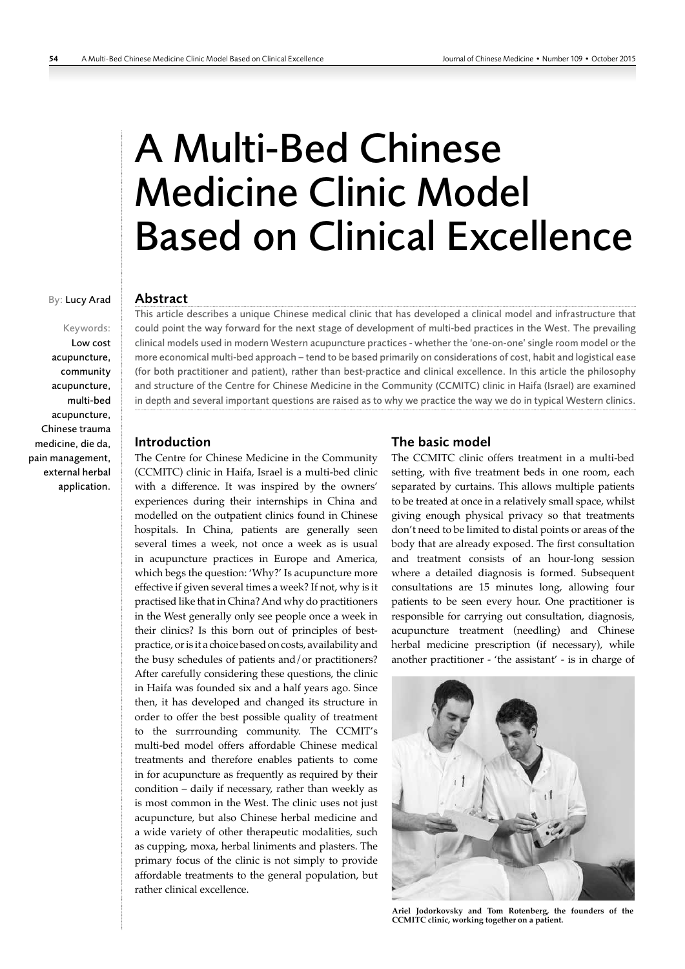# A Multi-Bed Chinese Medicine Clinic Model Based on Clinical Excellence

#### By: Lucy Arad

Keywords: Low cost acupuncture, community acupuncture, multi-bed acupuncture, Chinese trauma medicine, die da, pain management, external herbal application.

## Abstract

This article describes a unique Chinese medical clinic that has developed a clinical model and infrastructure that could point the way forward for the next stage of development of multi-bed practices in the West. The prevailing clinical models used in modern Western acupuncture practices - whether the 'one-on-one' single room model or the more economical multi-bed approach – tend to be based primarily on considerations of cost, habit and logistical ease (for both practitioner and patient), rather than best-practice and clinical excellence. In this article the philosophy and structure of the Centre for Chinese Medicine in the Community (CCMITC) clinic in Haifa (Israel) are examined in depth and several important questions are raised as to why we practice the way we do in typical Western clinics.

### Introduction

The Centre for Chinese Medicine in the Community (CCMITC) clinic in Haifa, Israel is a multi-bed clinic with a difference. It was inspired by the owners' experiences during their internships in China and modelled on the outpatient clinics found in Chinese hospitals. In China, patients are generally seen several times a week, not once a week as is usual in acupuncture practices in Europe and America, which begs the question: 'Why?' Is acupuncture more effective if given several times a week? If not, why is it practised like that in China? And why do practitioners in the West generally only see people once a week in their clinics? Is this born out of principles of bestpractice, or is it a choice based on costs, availability and the busy schedules of patients and/or practitioners? After carefully considering these questions, the clinic in Haifa was founded six and a half years ago. Since then, it has developed and changed its structure in order to offer the best possible quality of treatment to the surrrounding community. The CCMIT's multi-bed model offers affordable Chinese medical treatments and therefore enables patients to come in for acupuncture as frequently as required by their condition – daily if necessary, rather than weekly as is most common in the West. The clinic uses not just acupuncture, but also Chinese herbal medicine and a wide variety of other therapeutic modalities, such as cupping, moxa, herbal liniments and plasters. The primary focus of the clinic is not simply to provide affordable treatments to the general population, but rather clinical excellence.

#### The basic model

The CCMITC clinic offers treatment in a multi-bed setting, with five treatment beds in one room, each separated by curtains. This allows multiple patients to be treated at once in a relatively small space, whilst giving enough physical privacy so that treatments don't need to be limited to distal points or areas of the body that are already exposed. The first consultation and treatment consists of an hour-long session where a detailed diagnosis is formed. Subsequent consultations are 15 minutes long, allowing four patients to be seen every hour. One practitioner is responsible for carrying out consultation, diagnosis, acupuncture treatment (needling) and Chinese herbal medicine prescription (if necessary), while another practitioner - 'the assistant' - is in charge of



**Ariel Jodorkovsky and Tom Rotenberg, the founders of the CCMITC clinic, working together on a patient.**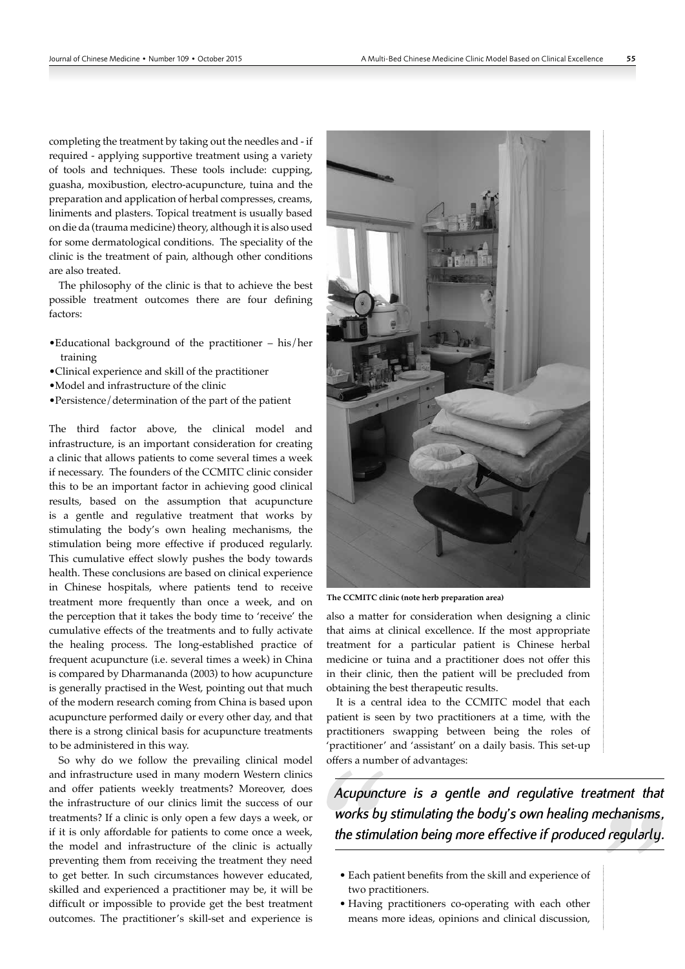completing the treatment by taking out the needles and - if required - applying supportive treatment using a variety of tools and techniques. These tools include: cupping, guasha, moxibustion, electro-acupuncture, tuina and the preparation and application of herbal compresses, creams, liniments and plasters. Topical treatment is usually based on die da (trauma medicine) theory, although it is also used for some dermatological conditions. The speciality of the clinic is the treatment of pain, although other conditions are also treated.

The philosophy of the clinic is that to achieve the best possible treatment outcomes there are four defining factors:

- •Educational background of the practitioner his/her training
- •Clinical experience and skill of the practitioner
- •Model and infrastructure of the clinic
- •Persistence/determination of the part of the patient

The third factor above, the clinical model and infrastructure, is an important consideration for creating a clinic that allows patients to come several times a week if necessary. The founders of the CCMITC clinic consider this to be an important factor in achieving good clinical results, based on the assumption that acupuncture is a gentle and regulative treatment that works by stimulating the body's own healing mechanisms, the stimulation being more effective if produced regularly. This cumulative effect slowly pushes the body towards health. These conclusions are based on clinical experience in Chinese hospitals, where patients tend to receive treatment more frequently than once a week, and on the perception that it takes the body time to 'receive' the cumulative effects of the treatments and to fully activate the healing process. The long-established practice of frequent acupuncture (i.e. several times a week) in China is compared by Dharmananda (2003) to how acupuncture is generally practised in the West, pointing out that much of the modern research coming from China is based upon acupuncture performed daily or every other day, and that there is a strong clinical basis for acupuncture treatments to be administered in this way.

So why do we follow the prevailing clinical model and infrastructure used in many modern Western clinics and offer patients weekly treatments? Moreover, does the infrastructure of our clinics limit the success of our treatments? If a clinic is only open a few days a week, or if it is only affordable for patients to come once a week, the model and infrastructure of the clinic is actually preventing them from receiving the treatment they need to get better. In such circumstances however educated, skilled and experienced a practitioner may be, it will be difficult or impossible to provide get the best treatment outcomes. The practitioner's skill-set and experience is



**The CCMITC clinic (note herb preparation area)**

also a matter for consideration when designing a clinic that aims at clinical excellence. If the most appropriate treatment for a particular patient is Chinese herbal medicine or tuina and a practitioner does not offer this in their clinic, then the patient will be precluded from obtaining the best therapeutic results.

It is a central idea to the CCMITC model that each patient is seen by two practitioners at a time, with the practitioners swapping between being the roles of 'practitioner' and 'assistant' on a daily basis. This set-up offers a number of advantages:

*Acupuncture is a gentle and regulative treatment that works by stimulating the body's own healing mechanisms, the stimulation being more effective if produced regularly.* 

- Each patient benefits from the skill and experience of two practitioners.
- Having practitioners co-operating with each other means more ideas, opinions and clinical discussion,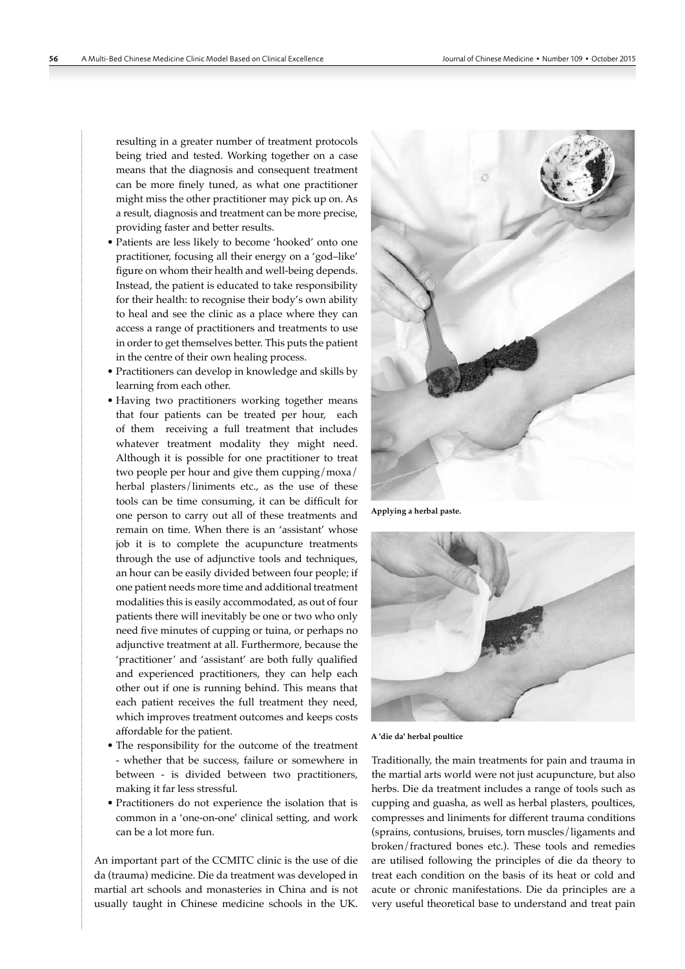resulting in a greater number of treatment protocols being tried and tested. Working together on a case means that the diagnosis and consequent treatment can be more finely tuned, as what one practitioner might miss the other practitioner may pick up on. As a result, diagnosis and treatment can be more precise, providing faster and better results.

- Patients are less likely to become 'hooked' onto one practitioner, focusing all their energy on a 'god–like' figure on whom their health and well-being depends. Instead, the patient is educated to take responsibility for their health: to recognise their body's own ability to heal and see the clinic as a place where they can access a range of practitioners and treatments to use in order to get themselves better. This puts the patient in the centre of their own healing process.
- Practitioners can develop in knowledge and skills by learning from each other.
- Having two practitioners working together means that four patients can be treated per hour, each of them receiving a full treatment that includes whatever treatment modality they might need. Although it is possible for one practitioner to treat two people per hour and give them cupping/moxa/ herbal plasters/liniments etc., as the use of these tools can be time consuming, it can be difficult for one person to carry out all of these treatments and remain on time. When there is an 'assistant' whose job it is to complete the acupuncture treatments through the use of adjunctive tools and techniques, an hour can be easily divided between four people; if one patient needs more time and additional treatment modalities this is easily accommodated, as out of four patients there will inevitably be one or two who only need five minutes of cupping or tuina, or perhaps no adjunctive treatment at all. Furthermore, because the 'practitioner' and 'assistant' are both fully qualified and experienced practitioners, they can help each other out if one is running behind. This means that each patient receives the full treatment they need, which improves treatment outcomes and keeps costs affordable for the patient.
- The responsibility for the outcome of the treatment - whether that be success, failure or somewhere in between - is divided between two practitioners, making it far less stressful.
- Practitioners do not experience the isolation that is common in a 'one-on-one' clinical setting, and work can be a lot more fun.

An important part of the CCMITC clinic is the use of die da (trauma) medicine. Die da treatment was developed in martial art schools and monasteries in China and is not usually taught in Chinese medicine schools in the UK.



**Applying a herbal paste.**



**A 'die da' herbal poultice**

Traditionally, the main treatments for pain and trauma in the martial arts world were not just acupuncture, but also herbs. Die da treatment includes a range of tools such as cupping and guasha, as well as herbal plasters, poultices, compresses and liniments for different trauma conditions (sprains, contusions, bruises, torn muscles/ligaments and broken/fractured bones etc.). These tools and remedies are utilised following the principles of die da theory to treat each condition on the basis of its heat or cold and acute or chronic manifestations. Die da principles are a very useful theoretical base to understand and treat pain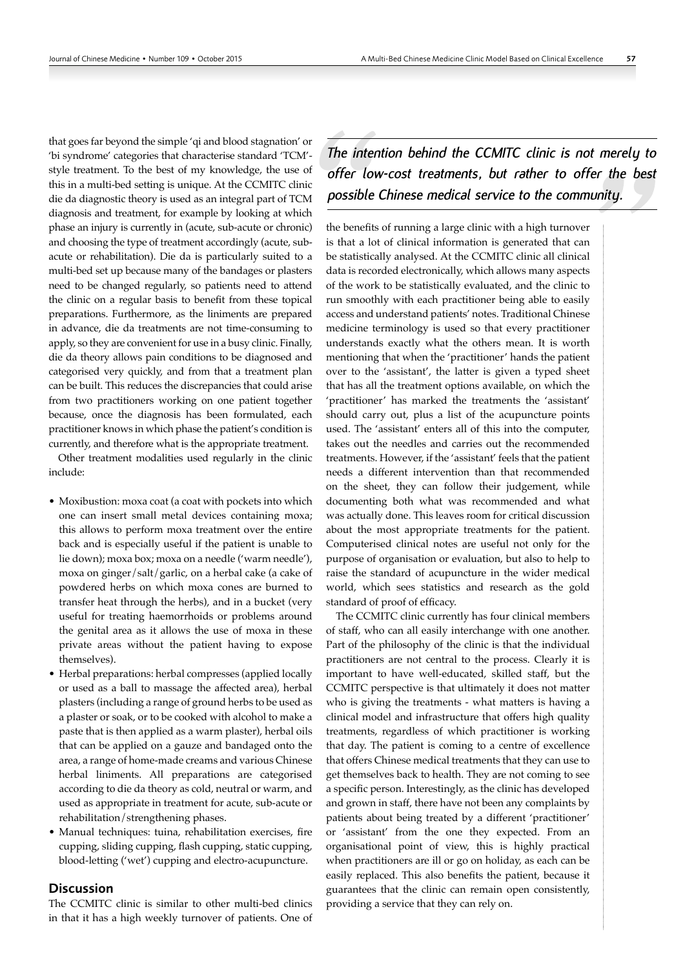that goes far beyond the simple 'qi and blood stagnation' or 'bi syndrome' categories that characterise standard 'TCM'style treatment. To the best of my knowledge, the use of this in a multi-bed setting is unique. At the CCMITC clinic die da diagnostic theory is used as an integral part of TCM diagnosis and treatment, for example by looking at which phase an injury is currently in (acute, sub-acute or chronic) and choosing the type of treatment accordingly (acute, subacute or rehabilitation). Die da is particularly suited to a multi-bed set up because many of the bandages or plasters need to be changed regularly, so patients need to attend the clinic on a regular basis to benefit from these topical preparations. Furthermore, as the liniments are prepared in advance, die da treatments are not time-consuming to apply, so they are convenient for use in a busy clinic. Finally, die da theory allows pain conditions to be diagnosed and categorised very quickly, and from that a treatment plan can be built. This reduces the discrepancies that could arise from two practitioners working on one patient together because, once the diagnosis has been formulated, each practitioner knows in which phase the patient's condition is currently, and therefore what is the appropriate treatment.

Other treatment modalities used regularly in the clinic include:

- Moxibustion: moxa coat (a coat with pockets into which one can insert small metal devices containing moxa; this allows to perform moxa treatment over the entire back and is especially useful if the patient is unable to lie down); moxa box; moxa on a needle ('warm needle'), moxa on ginger/salt/garlic, on a herbal cake (a cake of powdered herbs on which moxa cones are burned to transfer heat through the herbs), and in a bucket (very useful for treating haemorrhoids or problems around the genital area as it allows the use of moxa in these private areas without the patient having to expose themselves).
- Herbal preparations: herbal compresses (applied locally or used as a ball to massage the affected area), herbal plasters (including a range of ground herbs to be used as a plaster or soak, or to be cooked with alcohol to make a paste that is then applied as a warm plaster), herbal oils that can be applied on a gauze and bandaged onto the area, a range of home-made creams and various Chinese herbal liniments. All preparations are categorised according to die da theory as cold, neutral or warm, and used as appropriate in treatment for acute, sub-acute or rehabilitation/strengthening phases.
- Manual techniques: tuina, rehabilitation exercises, fire cupping, sliding cupping, flash cupping, static cupping, blood-letting ('wet') cupping and electro-acupuncture.

## **Discussion**

The CCMITC clinic is similar to other multi-bed clinics in that it has a high weekly turnover of patients. One of

*The intention behind the CCMITC clinic is not merely to offer low-cost treatments, but rather to offer the best possible Chinese medical service to the community.*

the benefits of running a large clinic with a high turnover is that a lot of clinical information is generated that can be statistically analysed. At the CCMITC clinic all clinical data is recorded electronically, which allows many aspects of the work to be statistically evaluated, and the clinic to run smoothly with each practitioner being able to easily access and understand patients' notes. Traditional Chinese medicine terminology is used so that every practitioner understands exactly what the others mean. It is worth mentioning that when the 'practitioner' hands the patient over to the 'assistant', the latter is given a typed sheet that has all the treatment options available, on which the 'practitioner' has marked the treatments the 'assistant' should carry out, plus a list of the acupuncture points used. The 'assistant' enters all of this into the computer, takes out the needles and carries out the recommended treatments. However, if the 'assistant' feels that the patient needs a different intervention than that recommended on the sheet, they can follow their judgement, while documenting both what was recommended and what was actually done. This leaves room for critical discussion about the most appropriate treatments for the patient. Computerised clinical notes are useful not only for the purpose of organisation or evaluation, but also to help to raise the standard of acupuncture in the wider medical world, which sees statistics and research as the gold standard of proof of efficacy.

The CCMITC clinic currently has four clinical members of staff, who can all easily interchange with one another. Part of the philosophy of the clinic is that the individual practitioners are not central to the process. Clearly it is important to have well-educated, skilled staff, but the CCMITC perspective is that ultimately it does not matter who is giving the treatments - what matters is having a clinical model and infrastructure that offers high quality treatments, regardless of which practitioner is working that day. The patient is coming to a centre of excellence that offers Chinese medical treatments that they can use to get themselves back to health. They are not coming to see a specific person. Interestingly, as the clinic has developed and grown in staff, there have not been any complaints by patients about being treated by a different 'practitioner' or 'assistant' from the one they expected. From an organisational point of view, this is highly practical when practitioners are ill or go on holiday, as each can be easily replaced. This also benefits the patient, because it guarantees that the clinic can remain open consistently, providing a service that they can rely on.